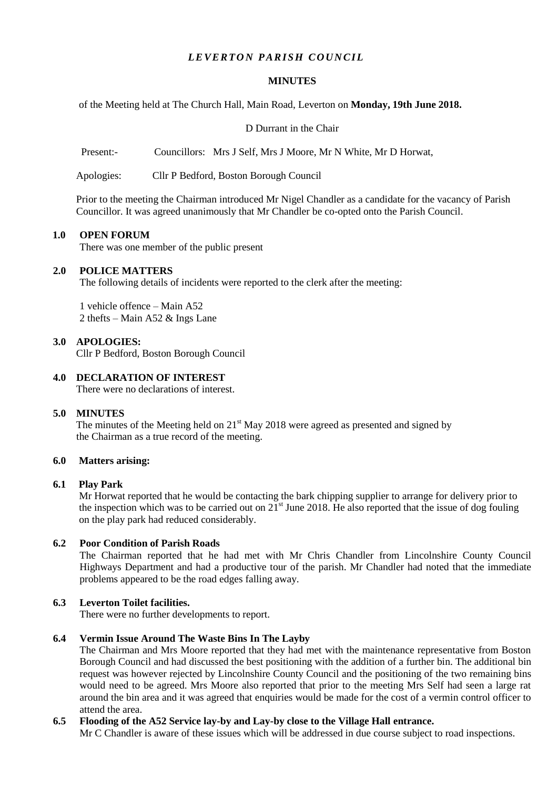# $LEVERTON$  *PARISH COUNCIL*

#### **MINUTES**

of the Meeting held at The Church Hall, Main Road, Leverton on **Monday, 19th June 2018.**

D Durrant in the Chair

Present:- Councillors: Mrs J Self, Mrs J Moore, Mr N White, Mr D Horwat,

Apologies: Cllr P Bedford, Boston Borough Council

Prior to the meeting the Chairman introduced Mr Nigel Chandler as a candidate for the vacancy of Parish Councillor. It was agreed unanimously that Mr Chandler be co-opted onto the Parish Council.

#### **1.0 OPEN FORUM**

There was one member of the public present

#### **2.0 POLICE MATTERS**

The following details of incidents were reported to the clerk after the meeting:

1 vehicle offence – Main A52 2 thefts – Main A52 & Ings Lane

### **3.0 APOLOGIES:**

Cllr P Bedford, Boston Borough Council

### **4.0 DECLARATION OF INTEREST**

There were no declarations of interest.

### **5.0 MINUTES**

The minutes of the Meeting held on  $21<sup>st</sup>$  May 2018 were agreed as presented and signed by the Chairman as a true record of the meeting.

### **6.0 Matters arising:**

### **6.1 Play Park**

Mr Horwat reported that he would be contacting the bark chipping supplier to arrange for delivery prior to the inspection which was to be carried out on  $21<sup>st</sup>$  June 2018. He also reported that the issue of dog fouling on the play park had reduced considerably.

### **6.2 Poor Condition of Parish Roads**

The Chairman reported that he had met with Mr Chris Chandler from Lincolnshire County Council Highways Department and had a productive tour of the parish. Mr Chandler had noted that the immediate problems appeared to be the road edges falling away.

### **6.3 Leverton Toilet facilities.**

There were no further developments to report.

### **6.4 Vermin Issue Around The Waste Bins In The Layby**

The Chairman and Mrs Moore reported that they had met with the maintenance representative from Boston Borough Council and had discussed the best positioning with the addition of a further bin. The additional bin request was however rejected by Lincolnshire County Council and the positioning of the two remaining bins would need to be agreed. Mrs Moore also reported that prior to the meeting Mrs Self had seen a large rat around the bin area and it was agreed that enquiries would be made for the cost of a vermin control officer to attend the area.

## **6.5 Flooding of the A52 Service lay-by and Lay-by close to the Village Hall entrance.**

Mr C Chandler is aware of these issues which will be addressed in due course subject to road inspections.